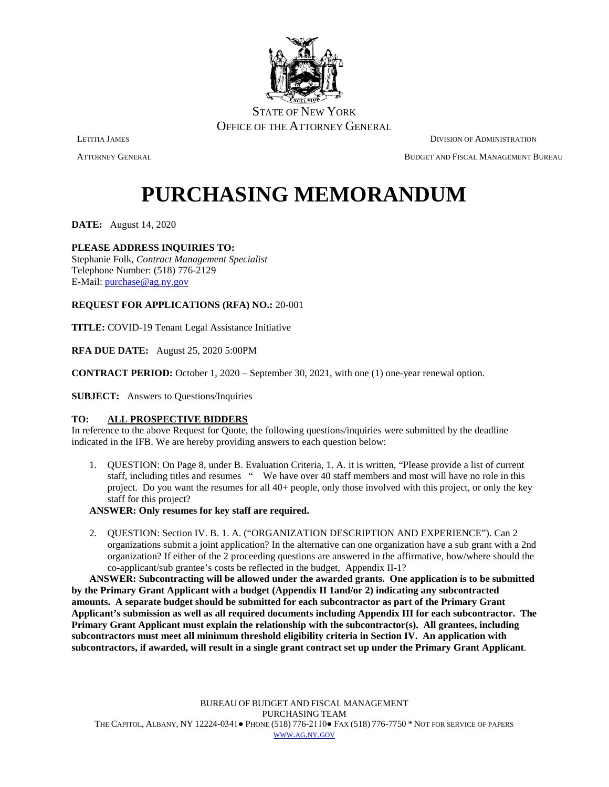

ATTORNEY GENERAL BUDGET AND FISCAL MANAGEMENT BUREAU

# **PURCHASING MEMORANDUM**

**DATE:** August 14, 2020

## **PLEASE ADDRESS INQUIRIES TO:**

Stephanie Folk, *Contract Management Specialist* Telephone Number: (518) 776-2129 E-Mail: [purchase@ag.ny.gov](mailto:purchase@ag.ny.gov)

### **REQUEST FOR APPLICATIONS (RFA) NO.:** 20-001

**TITLE:** COVID-19 Tenant Legal Assistance Initiative

**RFA DUE DATE:** August 25, 2020 5:00PM

**CONTRACT PERIOD:** October 1, 2020 – September 30, 2021, with one (1) one-year renewal option.

**SUBJECT:** Answers to Questions/Inquiries

## **TO: ALL PROSPECTIVE BIDDERS**

In reference to the above Request for Quote, the following questions/inquiries were submitted by the deadline indicated in the IFB. We are hereby providing answers to each question below:

1. QUESTION: On Page 8, under B. Evaluation Criteria, 1. A. it is written, "Please provide a list of current staff, including titles and resumes " We have over 40 staff members and most will have no role in this project. Do you want the resumes for all 40+ people, only those involved with this project, or only the key staff for this project?

### **ANSWER: Only resumes for key staff are required.**

2. QUESTION: Section IV. B. 1. A. ("ORGANIZATION DESCRIPTION AND EXPERIENCE"). Can 2 organizations submit a joint application? In the alternative can one organization have a sub grant with a 2nd organization? If either of the 2 proceeding questions are answered in the affirmative, how/where should the co-applicant/sub grantee's costs be reflected in the budget, Appendix II-1?

**ANSWER: Subcontracting will be allowed under the awarded grants. One application is to be submitted by the Primary Grant Applicant with a budget (Appendix II 1and/or 2) indicating any subcontracted amounts. A separate budget should be submitted for each subcontractor as part of the Primary Grant Applicant's submission as well as all required documents including Appendix III for each subcontractor. The Primary Grant Applicant must explain the relationship with the subcontractor(s). All grantees, including subcontractors must meet all minimum threshold eligibility criteria in Section IV. An application with subcontractors, if awarded, will result in a single grant contract set up under the Primary Grant Applicant**.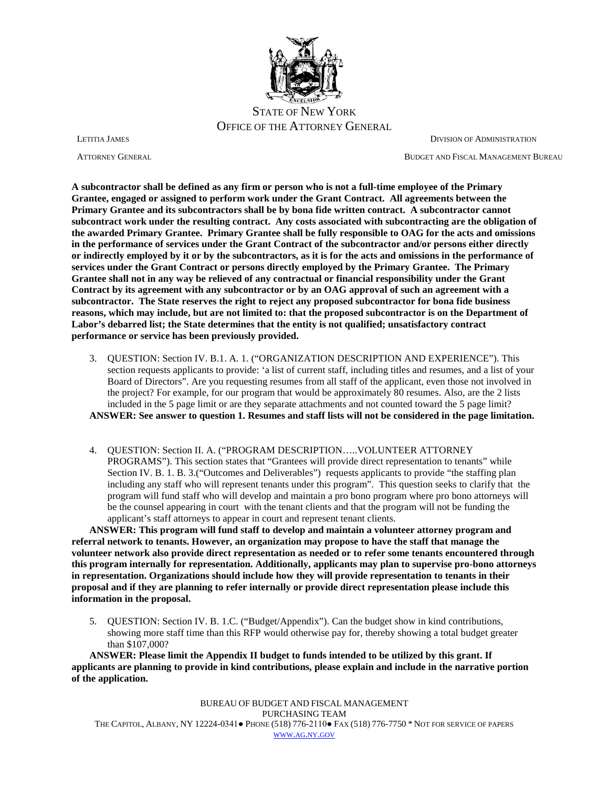

ATTORNEY GENERAL BUDGET AND FISCAL MANAGEMENT BUREAU

**A subcontractor shall be defined as any firm or person who is not a full-time employee of the Primary Grantee, engaged or assigned to perform work under the Grant Contract. All agreements between the Primary Grantee and its subcontractors shall be by bona fide written contract. A subcontractor cannot subcontract work under the resulting contract. Any costs associated with subcontracting are the obligation of the awarded Primary Grantee. Primary Grantee shall be fully responsible to OAG for the acts and omissions in the performance of services under the Grant Contract of the subcontractor and/or persons either directly or indirectly employed by it or by the subcontractors, as it is for the acts and omissions in the performance of services under the Grant Contract or persons directly employed by the Primary Grantee. The Primary Grantee shall not in any way be relieved of any contractual or financial responsibility under the Grant Contract by its agreement with any subcontractor or by an OAG approval of such an agreement with a subcontractor. The State reserves the right to reject any proposed subcontractor for bona fide business reasons, which may include, but are not limited to: that the proposed subcontractor is on the Department of Labor's debarred list; the State determines that the entity is not qualified; unsatisfactory contract performance or service has been previously provided.**

- 3. QUESTION: Section IV. B.1. A. 1. ("ORGANIZATION DESCRIPTION AND EXPERIENCE"). This section requests applicants to provide: 'a list of current staff, including titles and resumes, and a list of your Board of Directors". Are you requesting resumes from all staff of the applicant, even those not involved in the project? For example, for our program that would be approximately 80 resumes. Also, are the 2 lists included in the 5 page limit or are they separate attachments and not counted toward the 5 page limit? **ANSWER: See answer to question 1. Resumes and staff lists will not be considered in the page limitation.**
- 4. QUESTION: Section II. A. ("PROGRAM DESCRIPTION…..VOLUNTEER ATTORNEY PROGRAMS"). This section states that "Grantees will provide direct representation to tenants" while Section IV. B. 1. B. 3.("Outcomes and Deliverables") requests applicants to provide "the staffing plan including any staff who will represent tenants under this program". This question seeks to clarify that the program will fund staff who will develop and maintain a pro bono program where pro bono attorneys will be the counsel appearing in court with the tenant clients and that the program will not be funding the applicant's staff attorneys to appear in court and represent tenant clients.

**ANSWER: This program will fund staff to develop and maintain a volunteer attorney program and referral network to tenants. However, an organization may propose to have the staff that manage the volunteer network also provide direct representation as needed or to refer some tenants encountered through this program internally for representation. Additionally, applicants may plan to supervise pro-bono attorneys in representation. Organizations should include how they will provide representation to tenants in their proposal and if they are planning to refer internally or provide direct representation please include this information in the proposal.**

5. QUESTION: Section IV. B. 1.C. ("Budget/Appendix"). Can the budget show in kind contributions, showing more staff time than this RFP would otherwise pay for, thereby showing a total budget greater than \$107,000?

**ANSWER: Please limit the Appendix II budget to funds intended to be utilized by this grant. If applicants are planning to provide in kind contributions, please explain and include in the narrative portion of the application.**

BUREAU OF BUDGET AND FISCAL MANAGEMENT PURCHASING TEAM THE CAPITOL, ALBANY, NY 12224-0341● PHONE (518) 776-2110● FAX (518) 776-7750 \* NOT FOR SERVICE OF PAPERS [WWW.AG.NY.GOV](http://www.ag.ny.gov/)